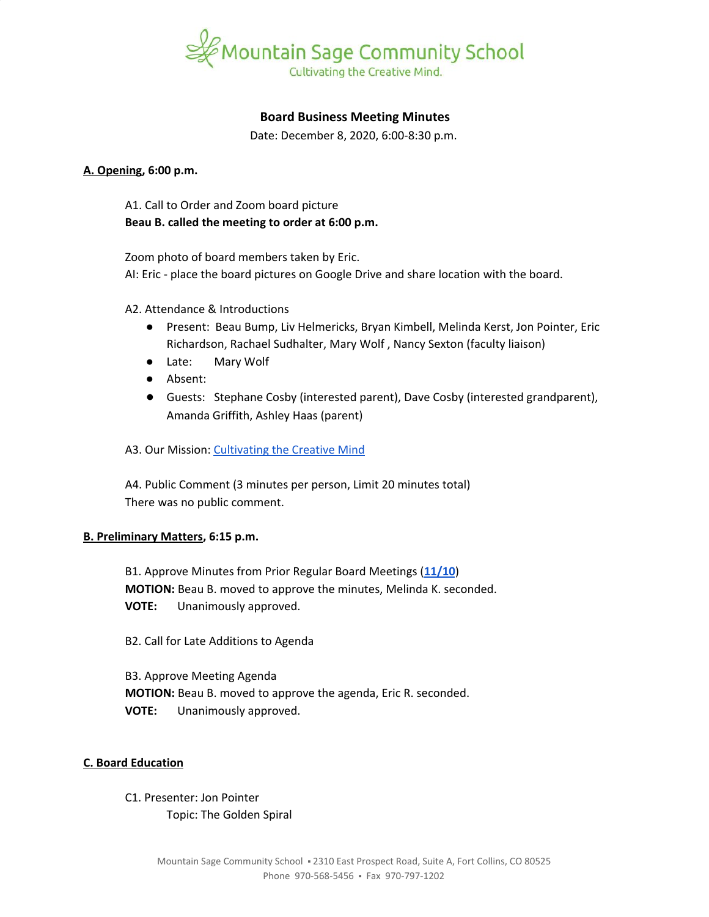

# **Board Business Meeting Minutes**

Date: December 8, 2020, 6:00-8:30 p.m.

## **A. Opening, 6:00 p.m.**

A1. Call to Order and Zoom board picture **Beau B. called the meeting to order at 6:00 p.m.**

Zoom photo of board members taken by Eric.

AI: Eric - place the board pictures on Google Drive and share location with the board.

A2. Attendance & Introductions

- Present: Beau Bump, Liv Helmericks, Bryan Kimbell, Melinda Kerst, Jon Pointer, Eric Richardson, Rachael Sudhalter, Mary Wolf , Nancy Sexton (faculty liaison)
- Late: Mary Wolf
- Absent:
- Guests: Stephane Cosby (interested parent), Dave Cosby (interested grandparent), Amanda Griffith, Ashley Haas (parent)
- A3. Our Mission: [Cultivating](https://www.mountainsage.org/about-us/mission-and-vision/) the Creative Mind

A4. Public Comment (3 minutes per person, Limit 20 minutes total) There was no public comment.

#### **B. Preliminary Matters, 6:15 p.m.**

B1. Approve Minutes from Prior Regular Board Meetings (**[11/10](https://docs.google.com/document/d/1mC_vh1Sp9ka-ILar5rca7IMkkSKdbgLgUepFmm5Eq-M)**) **MOTION:** Beau B. moved to approve the minutes, Melinda K. seconded. **VOTE:** Unanimously approved.

B2. Call for Late Additions to Agenda

B3. Approve Meeting Agenda **MOTION:** Beau B. moved to approve the agenda, Eric R. seconded. **VOTE:** Unanimously approved.

# **C. Board Education**

C1. Presenter: Jon Pointer Topic: The Golden Spiral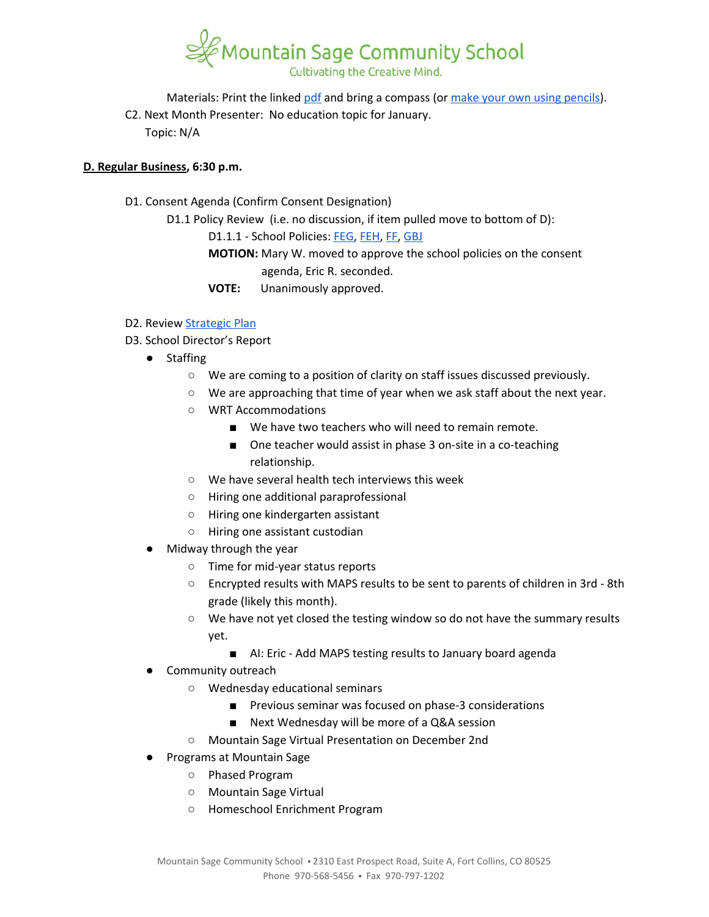

Materials: Print the linked [pdf](https://drive.google.com/file/d/1_la6NRwfaV0il9tPACckwRMhDD2wpIjN/view?usp=sharing) and bring a compass (or make your own using [pencils](https://youtu.be/LvpCX89lHvU?t=36)). C2. Next Month Presenter: No education topic for January. Topic: N/A

# **D. Regular Business, 6:30 p.m.**

- D1. Consent Agenda (Confirm Consent Designation)
	- D1.1 Policy Review (i.e. no discussion, if item pulled move to bottom of D):

D1.1.1 - School Policies: [FEG,](https://docs.google.com/document/d/16KsAgFybbQ34_MHxjsQUp8QXMuhMP0Hq1VwV2zTTDIc) [FEH](https://docs.google.com/document/d/1z-DZJGivIvEx3R5OBiI3HKAe2djMkUwX92mxzw0ManE), [FF,](https://drive.google.com/open?id=1wvhPpw1TIlT3BPkx0UeBEIe1-nm-28PfjHSB3lAQCmU) [GBJ](https://drive.google.com/open?id=1zBGL0j3BZn_8a9fgGaW4crvN8HBLy67ztJIEoGRNvtQ)

**MOTION:** Mary W. moved to approve the school policies on the consent agenda, Eric R. seconded.

**VOTE:** Unanimously approved.

## D2. Review [Strategic](https://docs.google.com/spreadsheets/d/1ZcsDhIjaJBoVOI2OMPaYkghgZi_yR7rn31ELgbvqf3E/view) Plan

- D3. School Director's Report
	- Staffing
		- We are coming to a position of clarity on staff issues discussed previously.
		- We are approaching that time of year when we ask staff about the next year.
		- WRT Accommodations
			- We have two teachers who will need to remain remote.
			- One teacher would assist in phase 3 on-site in a co-teaching relationship.
		- We have several health tech interviews this week
		- Hiring one additional paraprofessional
		- Hiring one kindergarten assistant
		- Hiring one assistant custodian
	- Midway through the year
		- Time for mid-year status reports
		- Encrypted results with MAPS results to be sent to parents of children in 3rd 8th grade (likely this month).
		- We have not yet closed the testing window so do not have the summary results yet.
			- AI: Eric Add MAPS testing results to January board agenda
	- Community outreach
		- Wednesday educational seminars
			- Previous seminar was focused on phase-3 considerations
			- Next Wednesday will be more of a Q&A session
		- Mountain Sage Virtual Presentation on December 2nd
	- Programs at Mountain Sage
		- Phased Program
		- Mountain Sage Virtual
		- Homeschool Enrichment Program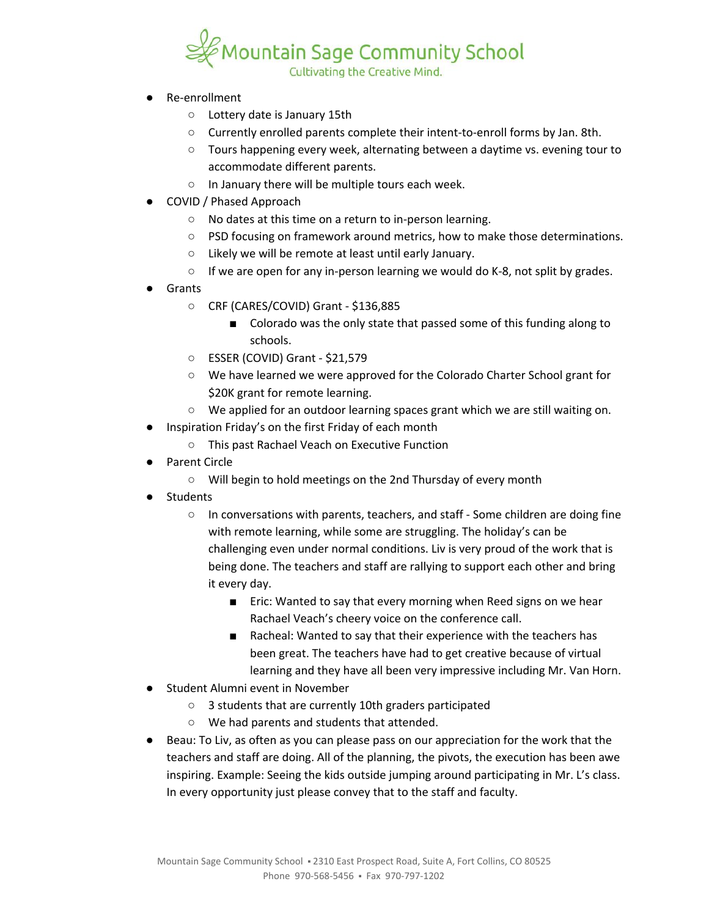

- Re-enrollment
	- Lottery date is January 15th
	- Currently enrolled parents complete their intent-to-enroll forms by Jan. 8th.
	- Tours happening every week, alternating between a daytime vs. evening tour to accommodate different parents.
	- In January there will be multiple tours each week.
- COVID / Phased Approach
	- No dates at this time on a return to in-person learning.
	- PSD focusing on framework around metrics, how to make those determinations.
	- Likely we will be remote at least until early January.
	- $\circ$  If we are open for any in-person learning we would do K-8, not split by grades.
- **Grants** 
	- CRF (CARES/COVID) Grant \$136,885
		- Colorado was the only state that passed some of this funding along to schools.
	- ESSER (COVID) Grant \$21,579
	- We have learned we were approved for the Colorado Charter School grant for \$20K grant for remote learning.
	- We applied for an outdoor learning spaces grant which we are still waiting on.
- Inspiration Friday's on the first Friday of each month
	- This past Rachael Veach on Executive Function
- Parent Circle
	- Will begin to hold meetings on the 2nd Thursday of every month
- Students
	- In conversations with parents, teachers, and staff Some children are doing fine with remote learning, while some are struggling. The holiday's can be challenging even under normal conditions. Liv is very proud of the work that is being done. The teachers and staff are rallying to support each other and bring it every day.
		- Eric: Wanted to say that every morning when Reed signs on we hear Rachael Veach's cheery voice on the conference call.
		- Racheal: Wanted to say that their experience with the teachers has been great. The teachers have had to get creative because of virtual learning and they have all been very impressive including Mr. Van Horn.
- Student Alumni event in November
	- 3 students that are currently 10th graders participated
	- We had parents and students that attended.
- Beau: To Liv, as often as you can please pass on our appreciation for the work that the teachers and staff are doing. All of the planning, the pivots, the execution has been awe inspiring. Example: Seeing the kids outside jumping around participating in Mr. L's class. In every opportunity just please convey that to the staff and faculty.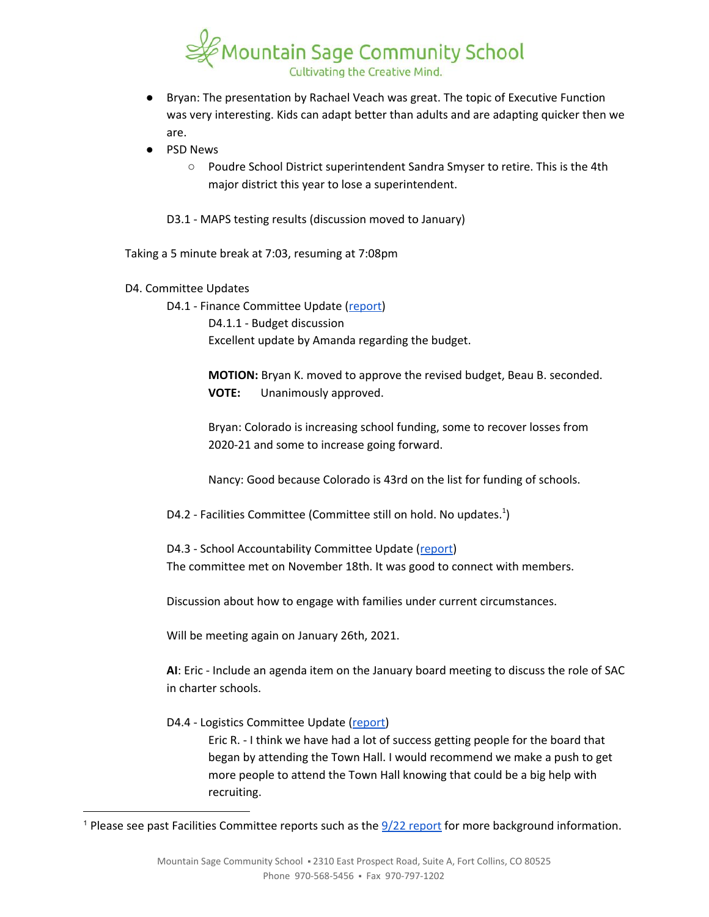

- Bryan: The presentation by Rachael Veach was great. The topic of Executive Function was very interesting. Kids can adapt better than adults and are adapting quicker then we are.
- **PSD News** 
	- Poudre School District superintendent Sandra Smyser to retire. This is the 4th major district this year to lose a superintendent.

D3.1 - MAPS testing results (discussion moved to January)

Taking a 5 minute break at 7:03, resuming at 7:08pm

D4. Committee Updates

D4.1 - Finance Committee Update ([report\)](https://docs.google.com/document/d/1D8D6oRYMGsvpaIexogfkfRaPC7eFLR0N8h2DsBy3b9I) D4.1.1 - Budget discussion Excellent update by Amanda regarding the budget.

> **MOTION:** Bryan K. moved to approve the revised budget, Beau B. seconded. **VOTE:** Unanimously approved.

Bryan: Colorado is increasing school funding, some to recover losses from 2020-21 and some to increase going forward.

Nancy: Good because Colorado is 43rd on the list for funding of schools.

D4.2 - Facilities Committee (Committee still on hold. No updates.<sup>1</sup>)

D4.3 - School Accountability Committee Update ([report\)](https://docs.google.com/document/d/1jdl3POMKsOFK-ICLY0fubMIu-NLYTL_VMNrxYWYQmGM) The committee met on November 18th. It was good to connect with members.

Discussion about how to engage with families under current circumstances.

Will be meeting again on January 26th, 2021.

**AI**: Eric - Include an agenda item on the January board meeting to discuss the role of SAC in charter schools.

D4.4 - Logistics Committee Update [\(report\)](https://docs.google.com/document/d/1K34RmJeOiMEyzCVPXJolacnnE8nZuIdB6EboQPo4SDA)

Eric R. - I think we have had a lot of success getting people for the board that began by attending the Town Hall. I would recommend we make a push to get more people to attend the Town Hall knowing that could be a big help with recruiting.

<sup>&</sup>lt;sup>1</sup> Please see past Facilities Committee [report](https://drive.google.com/file/d/1540MBFX75TZuJkqn_bNtGfqBp400VcC4/view?usp=sharing)s such as the  $\frac{9}{22}$  report for more background information.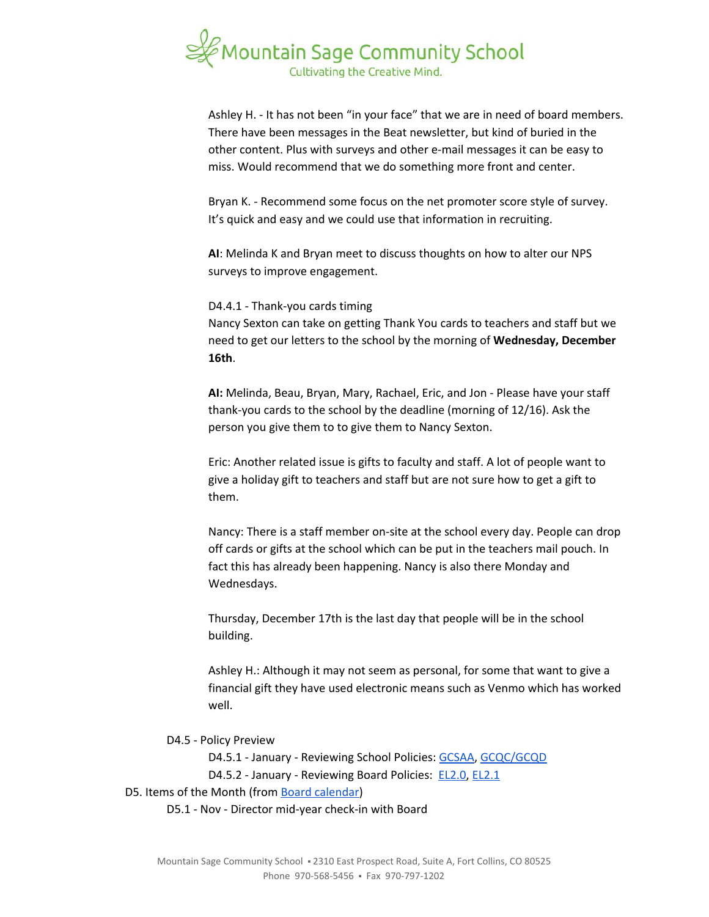

Ashley H. - It has not been "in your face" that we are in need of board members. There have been messages in the Beat newsletter, but kind of buried in the other content. Plus with surveys and other e-mail messages it can be easy to miss. Would recommend that we do something more front and center.

Bryan K. - Recommend some focus on the net promoter score style of survey. It's quick and easy and we could use that information in recruiting.

**AI**: Melinda K and Bryan meet to discuss thoughts on how to alter our NPS surveys to improve engagement.

D4.4.1 - Thank-you cards timing Nancy Sexton can take on getting Thank You cards to teachers and staff but we need to get our letters to the school by the morning of **Wednesday, December 16th**.

**AI:** Melinda, Beau, Bryan, Mary, Rachael, Eric, and Jon - Please have your staff thank-you cards to the school by the deadline (morning of 12/16). Ask the person you give them to to give them to Nancy Sexton.

Eric: Another related issue is gifts to faculty and staff. A lot of people want to give a holiday gift to teachers and staff but are not sure how to get a gift to them.

Nancy: There is a staff member on-site at the school every day. People can drop off cards or gifts at the school which can be put in the teachers mail pouch. In fact this has already been happening. Nancy is also there Monday and Wednesdays.

Thursday, December 17th is the last day that people will be in the school building.

Ashley H.: Although it may not seem as personal, for some that want to give a financial gift they have used electronic means such as Venmo which has worked well.

D4.5 - Policy Preview

D4.5.1 - January - Reviewing School Policies: [GCSAA,](https://docs.google.com/document/d/1Merv1El9rhyfwYMXGs8uSGLrXBBh4bO79vgPTclIKW4) [GCQC/GCQD](https://docs.google.com/document/d/1D6Iny5P4TJOC1MrB8k0ZQvLsrddkCSKXYFmPRUw2HMo/edit) D4.5.2 - January - Reviewing Board Policies: [EL2.0,](https://docs.google.com/document/d/1c0o8Bnu1HYiTBbFgIwpmzyxhRvPehIWJNSWBV5DKs9g) [EL2.1](https://docs.google.com/document/d/1w25gIwhGuojg0LtinVdvX2LcxLWfwRN4pTFPHZ3NNXc)

D5. Items of the Month (from Board [calendar](https://docs.google.com/document/d/12S6s-qevYMsnj8Cr2yw6uMO7S7hL3gz2oKvXZk5ZndQ/edit?usp=sharing))

D5.1 - Nov - Director mid-year check-in with Board